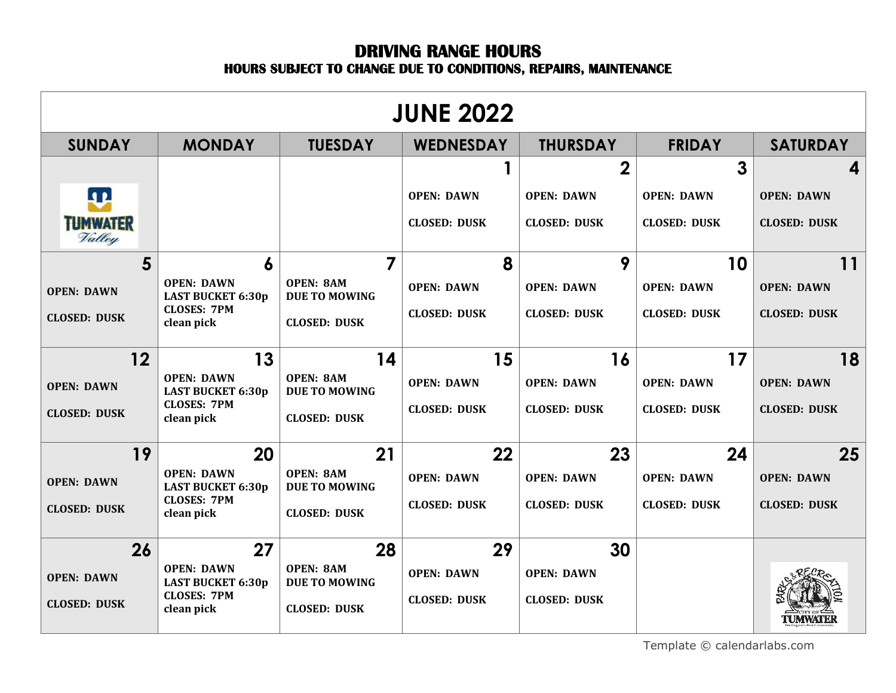## **DRIVING RANGE HOURS HOURS SUBJECT TO CHANGE DUE TO CONDITIONS, REPAIRS, MAINTENANCE**

| <b>JUNE 2022</b>          |                                               |                                          |                     |                     |                     |                     |
|---------------------------|-----------------------------------------------|------------------------------------------|---------------------|---------------------|---------------------|---------------------|
| <b>SUNDAY</b>             | <b>MONDAY</b>                                 | <b>TUESDAY</b>                           | <b>WEDNESDAY</b>    | <b>THURSDAY</b>     | <b>FRIDAY</b>       | <b>SATURDAY</b>     |
|                           |                                               |                                          | 1                   | $\overline{2}$      | 3                   | 4                   |
| <b>A 2</b>                |                                               |                                          | <b>OPEN: DAWN</b>   | <b>OPEN: DAWN</b>   | <b>OPEN: DAWN</b>   | <b>OPEN: DAWN</b>   |
| <b>TUMWATER</b><br>Valley |                                               |                                          | <b>CLOSED: DUSK</b> | <b>CLOSED: DUSK</b> | <b>CLOSED: DUSK</b> | <b>CLOSED: DUSK</b> |
| 5                         | 6                                             | 7                                        | 8                   | 9                   | 10                  | 11                  |
| <b>OPEN: DAWN</b>         | <b>OPEN: DAWN</b><br><b>LAST BUCKET 6:30p</b> | <b>OPEN: 8AM</b><br><b>DUE TO MOWING</b> | <b>OPEN: DAWN</b>   | <b>OPEN: DAWN</b>   | <b>OPEN: DAWN</b>   | <b>OPEN: DAWN</b>   |
| <b>CLOSED: DUSK</b>       | <b>CLOSES: 7PM</b><br>clean pick              | <b>CLOSED: DUSK</b>                      | <b>CLOSED: DUSK</b> | <b>CLOSED: DUSK</b> | <b>CLOSED: DUSK</b> | <b>CLOSED: DUSK</b> |
| 12                        | 13                                            | 14                                       | 15                  | 16                  | 17                  | 18                  |
| <b>OPEN: DAWN</b>         | <b>OPEN: DAWN</b><br><b>LAST BUCKET 6:30p</b> | <b>OPEN: 8AM</b><br><b>DUE TO MOWING</b> | <b>OPEN: DAWN</b>   | <b>OPEN: DAWN</b>   | <b>OPEN: DAWN</b>   | <b>OPEN: DAWN</b>   |
| <b>CLOSED: DUSK</b>       | <b>CLOSES: 7PM</b><br>clean pick              | <b>CLOSED: DUSK</b>                      | <b>CLOSED: DUSK</b> | <b>CLOSED: DUSK</b> | <b>CLOSED: DUSK</b> | <b>CLOSED: DUSK</b> |
| 19                        | 20                                            | 21                                       | 22                  | 23                  | 24                  | 25                  |
| <b>OPEN: DAWN</b>         | <b>OPEN: DAWN</b><br><b>LAST BUCKET 6:30p</b> | <b>OPEN: 8AM</b><br><b>DUE TO MOWING</b> | <b>OPEN: DAWN</b>   | <b>OPEN: DAWN</b>   | <b>OPEN: DAWN</b>   | <b>OPEN: DAWN</b>   |
| <b>CLOSED: DUSK</b>       | <b>CLOSES: 7PM</b>                            | <b>CLOSED: DUSK</b>                      | <b>CLOSED: DUSK</b> | <b>CLOSED: DUSK</b> | <b>CLOSED: DUSK</b> | <b>CLOSED: DUSK</b> |
|                           | clean pick                                    |                                          |                     |                     |                     |                     |
| 26                        | 27                                            | 28                                       | 29                  | 30                  |                     |                     |
| <b>OPEN: DAWN</b>         | <b>OPEN: DAWN</b><br><b>LAST BUCKET 6:30p</b> | <b>OPEN: 8AM</b><br><b>DUE TO MOWING</b> | <b>OPEN: DAWN</b>   | <b>OPEN: DAWN</b>   |                     |                     |
| <b>CLOSED: DUSK</b>       | <b>CLOSES: 7PM</b><br>clean pick              | <b>CLOSED: DUSK</b>                      | <b>CLOSED: DUSK</b> | <b>CLOSED: DUSK</b> |                     | <b>TUMWATER</b>     |